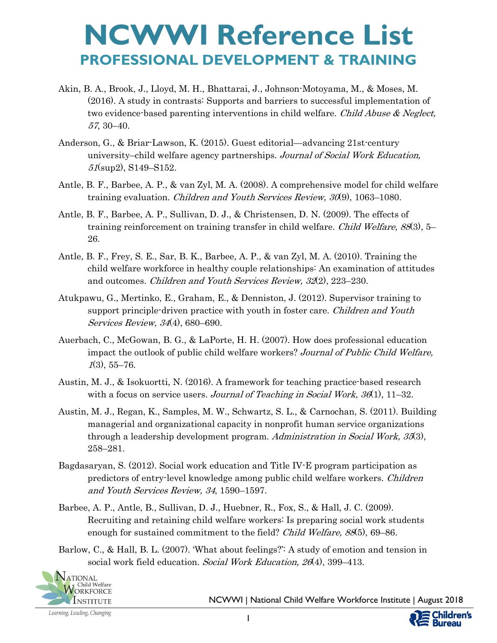- Akin, B. A., Brook, J., Lloyd, M. H., Bhattarai, J., Johnson-Motoyama, M., & Moses, M. (2016). A study in contrasts: Supports and barriers to successful implementation of two evidence-based parenting interventions in child welfare. Child Abuse & Neglect, 57, 30–40.
- Anderson, G., & Briar-Lawson, K. (2015). Guest editorial—advancing 21st-century university–child welfare agency partnerships. Journal of Social Work Education, 51(sup2), S149–S152.
- Antle, B. F., Barbee, A. P., & van Zyl, M. A. (2008). A comprehensive model for child welfare training evaluation. *Children and Youth Services Review, 30*(9), 1063–1080.
- Antle, B. F., Barbee, A. P., Sullivan, D. J., & Christensen, D. N. (2009). The effects of training reinforcement on training transfer in child welfare. *Child Welfare, 88*(3), 5– 26.
- Antle, B. F., Frey, S. E., Sar, B. K., Barbee, A. P., & van Zyl, M. A. (2010). Training the child welfare workforce in healthy couple relationships: An examination of attitudes and outcomes. Children and Youth Services Review, 32(2), 223-230.
- Atukpawu, G., Mertinko, E., Graham, E., & Denniston, J. (2012). Supervisor training to support principle-driven practice with youth in foster care. *Children and Youth* Services Review, 34(4), 680–690.
- Auerbach, C., McGowan, B. G., & LaPorte, H. H. (2007). How does professional education impact the outlook of public child welfare workers? Journal of Public Child Welfare,  $1(3), 55-76.$
- Austin, M. J., & Isokuortti, N. (2016). A framework for teaching practice-based research with a focus on service users. Journal of Teaching in Social Work,  $36(1)$ ,  $11-32$ .
- Austin, M. J., Regan, K., Samples, M. W., Schwartz, S. L., & Carnochan, S. (2011). Building managerial and organizational capacity in nonprofit human service organizations through a leadership development program. Administration in Social Work, 35(3), 258–281.
- Bagdasaryan, S. (2012). Social work education and Title IV-E program participation as predictors of entry-level knowledge among public child welfare workers. Children and Youth Services Review, 34, 1590–1597.
- Barbee, A. P., Antle, B., Sullivan, D. J., Huebner, R., Fox, S., & Hall, J. C. (2009). Recruiting and retaining child welfare workers: Is preparing social work students enough for sustained commitment to the field? Child Welfare, 88(5), 69–86.
- Barlow, C., & Hall, B. L. (2007). 'What about feelings?': A study of emotion and tension in social work field education. Social Work Education, 26(4), 399-413.



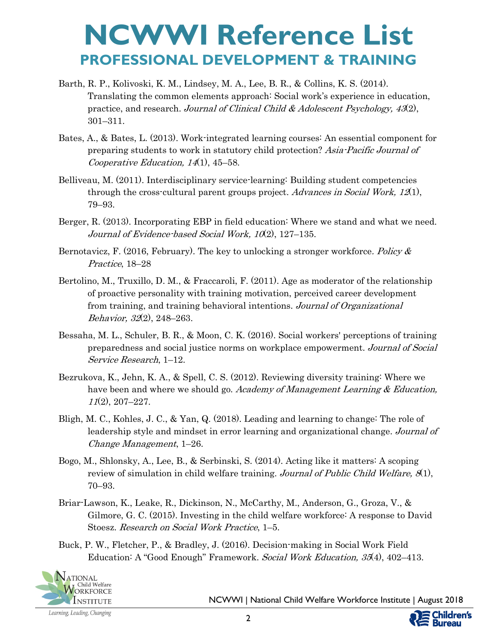- Barth, R. P., Kolivoski, K. M., Lindsey, M. A., Lee, B. R., & Collins, K. S. (2014). Translating the common elements approach: Social work's experience in education, practice, and research. Journal of Clinical Child & Adolescent Psychology,  $43(2)$ , 301–311.
- Bates, A., & Bates, L. (2013). Work-integrated learning courses: An essential component for preparing students to work in statutory child protection? Asia-Pacific Journal of Cooperative Education, 14(1), 45–58.
- Belliveau, M. (2011). Interdisciplinary service-learning: Building student competencies through the cross-cultural parent groups project. Advances in Social Work,  $12(1)$ , 79–93.
- Berger, R. (2013). Incorporating EBP in field education: Where we stand and what we need. Journal of Evidence-based Social Work,  $10(2)$ ,  $127-135$ .
- Bernotavicz, F. (2016, February). The key to unlocking a stronger workforce. Policy  $\&$ Practice, 18–28
- Bertolino, M., Truxillo, D. M., & Fraccaroli, F. (2011). Age as moderator of the relationship of proactive personality with training motivation, perceived career development from training, and training behavioral intentions. Journal of Organizational Behavior, 32(2), 248–263.
- Bessaha, M. L., Schuler, B. R., & Moon, C. K. (2016). Social workers' perceptions of training preparedness and social justice norms on workplace empowerment. Journal of Social Service Research, 1–12.
- Bezrukova, K., Jehn, K. A., & Spell, C. S. (2012). Reviewing diversity training: Where we have been and where we should go. *Academy of Management Learning & Education*, <sup>11</sup>(2), 207–227.
- Bligh, M. C., Kohles, J. C., & Yan, Q. (2018). Leading and learning to change: The role of leadership style and mindset in error learning and organizational change. Journal of Change Management, 1–26.
- Bogo, M., Shlonsky, A., Lee, B., & Serbinski, S. (2014). Acting like it matters: A scoping review of simulation in child welfare training. Journal of Public Child Welfare,  $8(1)$ , 70–93.
- Briar-Lawson, K., Leake, R., Dickinson, N., McCarthy, M., Anderson, G., Groza, V., & Gilmore, G. C. (2015). Investing in the child welfare workforce: A response to David Stoesz. Research on Social Work Practice, 1–5.
- Buck, P. W., Fletcher, P., & Bradley, J. (2016). Decision-making in Social Work Field Education: A "Good Enough" Framework. Social Work Education, 35(4), 402–413.



NCWWI | National Child Welfare Workforce Institute | August 2018

ildren's Bureau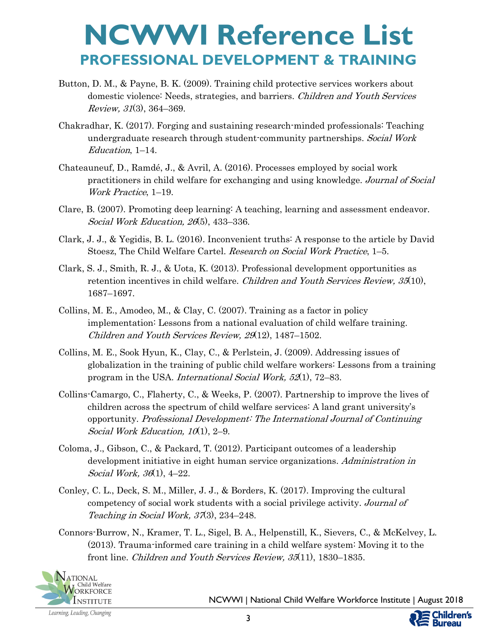- Button, D. M., & Payne, B. K. (2009). Training child protective services workers about domestic violence: Needs, strategies, and barriers. Children and Youth Services Review, 31(3), 364–369.
- Chakradhar, K. (2017). Forging and sustaining research-minded professionals: Teaching undergraduate research through student-community partnerships. Social Work Education, 1–14.
- Chateauneuf, D., Ramdé, J., & Avril, A. (2016). Processes employed by social work practitioners in child welfare for exchanging and using knowledge. Journal of Social Work Practice, 1–19.
- Clare, B. (2007). Promoting deep learning: A teaching, learning and assessment endeavor. Social Work Education, 26(5), 433–336.
- Clark, J. J., & Yegidis, B. L. (2016). Inconvenient truths: A response to the article by David Stoesz, The Child Welfare Cartel. Research on Social Work Practice, 1–5.
- Clark, S. J., Smith, R. J., & Uota, K. (2013). Professional development opportunities as retention incentives in child welfare. Children and Youth Services Review, 35(10), 1687–1697.
- Collins, M. E., Amodeo, M., & Clay, C. (2007). Training as a factor in policy implementation: Lessons from a national evaluation of child welfare training. Children and Youth Services Review, 29(12), 1487–1502.
- Collins, M. E., Sook Hyun, K., Clay, C., & Perlstein, J. (2009). Addressing issues of globalization in the training of public child welfare workers: Lessons from a training program in the USA. International Social Work, 52(1), 72–83.
- Collins-Camargo, C., Flaherty, C., & Weeks, P. (2007). Partnership to improve the lives of children across the spectrum of child welfare services: A land grant university's opportunity. Professional Development: The International Journal of Continuing Social Work Education,  $10(1)$ , 2–9.
- Coloma, J., Gibson, C., & Packard, T. (2012). Participant outcomes of a leadership development initiative in eight human service organizations. Administration in Social Work, 36(1), 4–22.
- Conley, C. L., Deck, S. M., Miller, J. J., & Borders, K. (2017). Improving the cultural competency of social work students with a social privilege activity. Journal of Teaching in Social Work, 37(3), 234–248.
- Connors-Burrow, N., Kramer, T. L., Sigel, B. A., Helpenstill, K., Sievers, C., & McKelvey, L. (2013). Trauma-informed care training in a child welfare system: Moving it to the front line. Children and Youth Services Review, 35(11), 1830–1835.



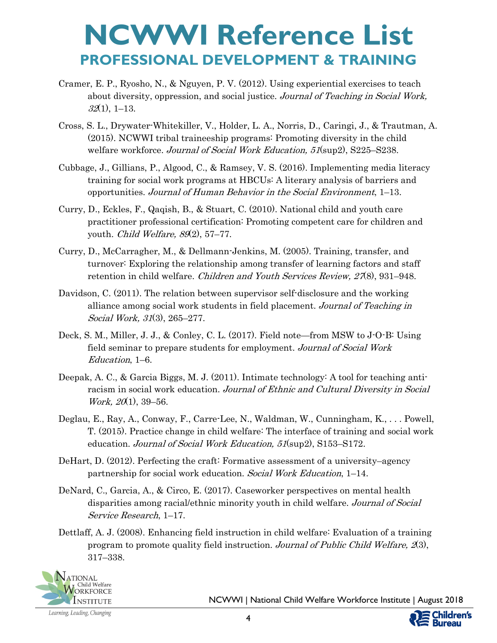- Cramer, E. P., Ryosho, N., & Nguyen, P. V. (2012). Using experiential exercises to teach about diversity, oppression, and social justice. Journal of Teaching in Social Work,  $32(1), 1-13.$
- Cross, S. L., Drywater-Whitekiller, V., Holder, L. A., Norris, D., Caringi, J., & Trautman, A. (2015). NCWWI tribal traineeship programs: Promoting diversity in the child welfare workforce. Journal of Social Work Education, 51(sup2), S225–S238.
- Cubbage, J., Gillians, P., Algood, C., & Ramsey, V. S. (2016). Implementing media literacy training for social work programs at HBCUs: A literary analysis of barriers and opportunities. Journal of Human Behavior in the Social Environment, 1–13.
- Curry, D., Eckles, F., Qaqish, B., & Stuart, C. (2010). National child and youth care practitioner professional certification: Promoting competent care for children and youth. *Child Welfare*, 89(2), 57–77.
- Curry, D., McCarragher, M., & Dellmann-Jenkins, M. (2005). Training, transfer, and turnover: Exploring the relationship among transfer of learning factors and staff retention in child welfare. *Children and Youth Services Review*, 27(8), 931–948.
- Davidson, C. (2011). The relation between supervisor self-disclosure and the working alliance among social work students in field placement. Journal of Teaching in Social Work, 31(3), 265–277.
- Deck, S. M., Miller, J. J., & Conley, C. L. (2017). Field note—from MSW to J-O-B: Using field seminar to prepare students for employment. Journal of Social Work Education, 1–6.
- Deepak, A. C., & Garcia Biggs, M. J. (2011). Intimate technology: A tool for teaching antiracism in social work education. Journal of Ethnic and Cultural Diversity in Social *Work, 20*(1), 39–56.
- Deglau, E., Ray, A., Conway, F., Carre-Lee, N., Waldman, W., Cunningham, K., . . . Powell, T. (2015). Practice change in child welfare: The interface of training and social work education. Journal of Social Work Education, 51(sup2), S153–S172.
- DeHart, D. (2012). Perfecting the craft: Formative assessment of a university–agency partnership for social work education. Social Work Education, 1–14.
- DeNard, C., Garcia, A., & Circo, E. (2017). Caseworker perspectives on mental health disparities among racial/ethnic minority youth in child welfare. Journal of Social Service Research, 1–17.
- Dettlaff, A. J. (2008). Enhancing field instruction in child welfare: Evaluation of a training program to promote quality field instruction. Journal of Public Child Welfare, 2(3), 317–338.



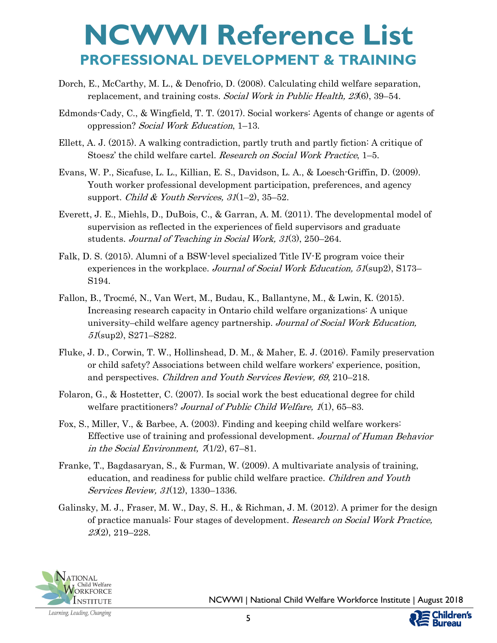- Dorch, E., McCarthy, M. L., & Denofrio, D. (2008). Calculating child welfare separation, replacement, and training costs. Social Work in Public Health, 23(6), 39–54.
- Edmonds-Cady, C., & Wingfield, T. T. (2017). Social workers: Agents of change or agents of oppression? Social Work Education, 1–13.
- Ellett, A. J. (2015). A walking contradiction, partly truth and partly fiction: A critique of Stoesz' the child welfare cartel. Research on Social Work Practice, 1–5.
- Evans, W. P., Sicafuse, L. L., Killian, E. S., Davidson, L. A., & Loesch-Griffin, D. (2009). Youth worker professional development participation, preferences, and agency support. Child & Youth Services,  $31(1-2)$ ,  $35-52$ .
- Everett, J. E., Miehls, D., DuBois, C., & Garran, A. M. (2011). The developmental model of supervision as reflected in the experiences of field supervisors and graduate students. Journal of Teaching in Social Work, 31(3), 250–264.
- Falk, D. S. (2015). Alumni of a BSW-level specialized Title IV-E program voice their experiences in the workplace. Journal of Social Work Education, 51(sup2), S173– S194.
- Fallon, B., Trocmé, N., Van Wert, M., Budau, K., Ballantyne, M., & Lwin, K. (2015). Increasing research capacity in Ontario child welfare organizations: A unique university–child welfare agency partnership. Journal of Social Work Education, 51(sup2), S271–S282.
- Fluke, J. D., Corwin, T. W., Hollinshead, D. M., & Maher, E. J. (2016). Family preservation or child safety? Associations between child welfare workers' experience, position, and perspectives. Children and Youth Services Review, 69, 210–218.
- Folaron, G., & Hostetter, C. (2007). Is social work the best educational degree for child welfare practitioners? Journal of Public Child Welfare, 1(1), 65–83.
- Fox, S., Miller, V., & Barbee, A. (2003). Finding and keeping child welfare workers: Effective use of training and professional development. Journal of Human Behavior in the Social Environment,  $\pi(1/2)$ , 67–81.
- Franke, T., Bagdasaryan, S., & Furman, W. (2009). A multivariate analysis of training, education, and readiness for public child welfare practice. Children and Youth Services Review, 31(12), 1330–1336.
- Galinsky, M. J., Fraser, M. W., Day, S. H., & Richman, J. M. (2012). A primer for the design of practice manuals: Four stages of development. Research on Social Work Practice, 23(2), 219–228.

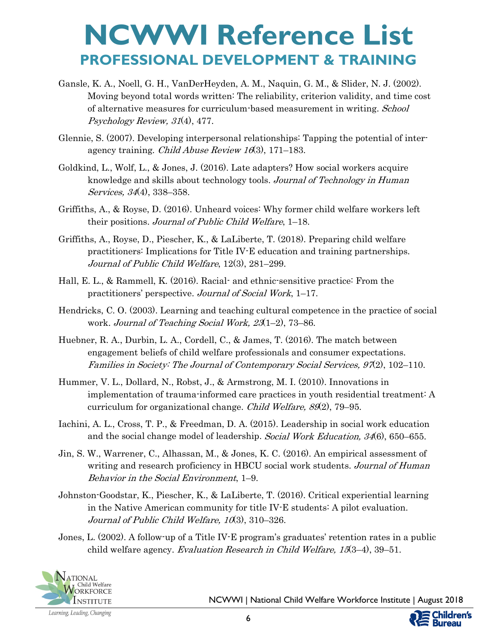- Gansle, K. A., Noell, G. H., VanDerHeyden, A. M., Naquin, G. M., & Slider, N. J. (2002). Moving beyond total words written: The reliability, criterion validity, and time cost of alternative measures for curriculum-based measurement in writing. School Psychology Review, 31(4), 477.
- Glennie, S. (2007). Developing interpersonal relationships: Tapping the potential of interagency training. *Child Abuse Review 16*(3), 171–183.
- Goldkind, L., Wolf, L., & Jones, J. (2016). Late adapters? How social workers acquire knowledge and skills about technology tools. Journal of Technology in Human Services, 34(4), 338–358.
- Griffiths, A., & Royse, D. (2016). Unheard voices: Why former child welfare workers left their positions. Journal of Public Child Welfare, 1–18.
- Griffiths, A., Royse, D., Piescher, K., & LaLiberte, T. (2018). Preparing child welfare practitioners: Implications for Title IV-E education and training partnerships. Journal of Public Child Welfare, 12(3), 281–299.
- Hall, E. L., & Rammell, K. (2016). Racial- and ethnic-sensitive practice: From the practitioners' perspective. Journal of Social Work, 1–17.
- Hendricks, C. O. (2003). Learning and teaching cultural competence in the practice of social work. Journal of Teaching Social Work, 23(1–2), 73–86.
- Huebner, R. A., Durbin, L. A., Cordell, C., & James, T. (2016). The match between engagement beliefs of child welfare professionals and consumer expectations. Families in Society: The Journal of Contemporary Social Services, 97(2), 102–110.
- Hummer, V. L., Dollard, N., Robst, J., & Armstrong, M. I. (2010). Innovations in implementation of trauma-informed care practices in youth residential treatment: A curriculum for organizational change. Child Welfare, 89(2), 79–95.
- Iachini, A. L., Cross, T. P., & Freedman, D. A. (2015). Leadership in social work education and the social change model of leadership. Social Work Education, 34(6), 650–655.
- Jin, S. W., Warrener, C., Alhassan, M., & Jones, K. C. (2016). An empirical assessment of writing and research proficiency in HBCU social work students. Journal of Human Behavior in the Social Environment, 1–9.
- Johnston-Goodstar, K., Piescher, K., & LaLiberte, T. (2016). Critical experiential learning in the Native American community for title IV-E students: A pilot evaluation. Journal of Public Child Welfare, 10(3), 310–326.
- Jones, L. (2002). A follow-up of a Title IV-E program's graduates' retention rates in a public child welfare agency. Evaluation Research in Child Welfare, 15(3–4), 39–51.



Learning, Leading, Changing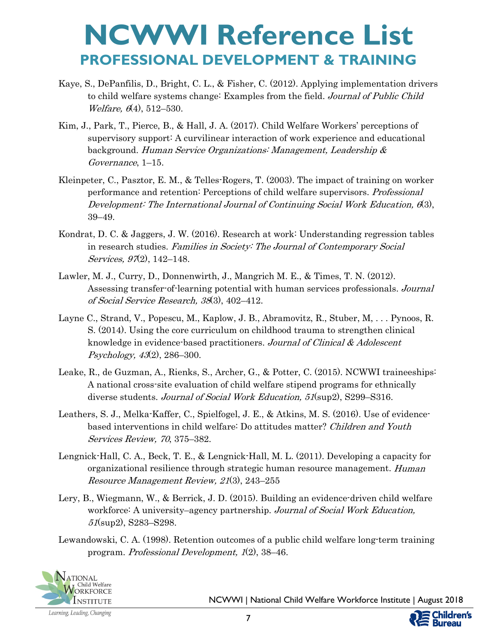- Kaye, S., DePanfilis, D., Bright, C. L., & Fisher, C. (2012). Applying implementation drivers to child welfare systems change: Examples from the field. Journal of Public Child *Welfare,*  $6(4)$ , 512–530.
- Kim, J., Park, T., Pierce, B., & Hall, J. A. (2017). Child Welfare Workers' perceptions of supervisory support: A curvilinear interaction of work experience and educational background. Human Service Organizations: Management, Leadership & Governance, 1–15.
- Kleinpeter, C., Pasztor, E. M., & Telles-Rogers, T. (2003). The impact of training on worker performance and retention: Perceptions of child welfare supervisors. Professional Development: The International Journal of Continuing Social Work Education, 6(3), 39–49.
- Kondrat, D. C. & Jaggers, J. W. (2016). Research at work: Understanding regression tables in research studies. Families in Society: The Journal of Contemporary Social Services, 97(2), 142–148.
- Lawler, M. J., Curry, D., Donnenwirth, J., Mangrich M. E., & Times, T. N. (2012). Assessing transfer-of-learning potential with human services professionals. Journal of Social Service Research, 38(3), 402–412.
- Layne C., Strand, V., Popescu, M., Kaplow, J. B., Abramovitz, R., Stuber, M, . . . Pynoos, R. S. (2014). Using the core curriculum on childhood trauma to strengthen clinical knowledge in evidence-based practitioners. Journal of Clinical & Adolescent Psychology, 43(2), 286–300.
- Leake, R., de Guzman, A., Rienks, S., Archer, G., & Potter, C. (2015). NCWWI traineeships: A national cross-site evaluation of child welfare stipend programs for ethnically diverse students. Journal of Social Work Education, 51(sup2), S299–S316.
- Leathers, S. J., Melka-Kaffer, C., Spielfogel, J. E., & Atkins, M. S. (2016). Use of evidencebased interventions in child welfare: Do attitudes matter? Children and Youth Services Review, 70, 375–382.
- Lengnick-Hall, C. A., Beck, T. E., & Lengnick-Hall, M. L. (2011). Developing a capacity for organizational resilience through strategic human resource management. Human Resource Management Review, 21(3), 243–255
- Lery, B., Wiegmann, W., & Berrick, J. D. (2015). Building an evidence-driven child welfare workforce: A university–agency partnership. Journal of Social Work Education, 51(sup2), S283–S298.
- Lewandowski, C. A. (1998). Retention outcomes of a public child welfare long-term training program. Professional Development, 1(2), 38–46.



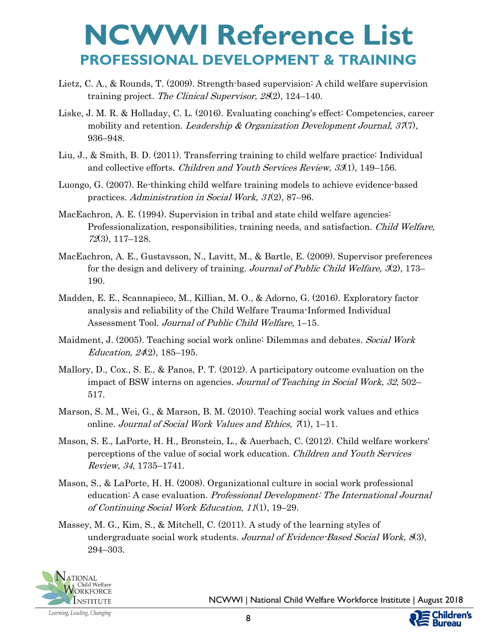- Lietz, C. A., & Rounds, T. (2009). Strength-based supervision: A child welfare supervision training project. The Clinical Supervisor, 28(2), 124–140.
- Liske, J. M. R. & Holladay, C. L. (2016). Evaluating coaching's effect: Competencies, career mobility and retention. Leadership & Organization Development Journal,  $37(7)$ , 936–948.
- Liu, J., & Smith, B. D. (2011). Transferring training to child welfare practice: Individual and collective efforts. Children and Youth Services Review, 33(1), 149–156.
- Luongo, G. (2007). Re-thinking child welfare training models to achieve evidence-based practices. Administration in Social Work, 31(2), 87–96.
- MacEachron, A. E. (1994). Supervision in tribal and state child welfare agencies: Professionalization, responsibilities, training needs, and satisfaction. *Child Welfare*, 72(3), 117–128.
- MacEachron, A. E., Gustavsson, N., Lavitt, M., & Bartle, E. (2009). Supervisor preferences for the design and delivery of training. Journal of Public Child Welfare,  $\mathcal{F}(2)$ , 173– 190.
- Madden, E. E., Scannapieco, M., Killian, M. O., & Adorno, G. (2016). Exploratory factor analysis and reliability of the Child Welfare Trauma-Informed Individual Assessment Tool. Journal of Public Child Welfare, 1-15.
- Maidment, J. (2005). Teaching social work online: Dilemmas and debates. Social Work Education, 24(2), 185–195.
- Mallory, D., Cox., S. E., & Panos, P. T. (2012). A participatory outcome evaluation on the impact of BSW interns on agencies. Journal of Teaching in Social Work, 32, 502– 517.
- Marson, S. M., Wei, G., & Marson, B. M. (2010). Teaching social work values and ethics online. Journal of Social Work Values and Ethics,  $\pi(1)$ , 1–11.
- Mason, S. E., LaPorte, H. H., Bronstein, L., & Auerbach, C. (2012). Child welfare workers' perceptions of the value of social work education. Children and Youth Services Review, 34, 1735–1741.
- Mason, S., & LaPorte, H. H. (2008). Organizational culture in social work professional education: A case evaluation. Professional Development: The International Journal of Continuing Social Work Education, 11(1), 19–29.
- Massey, M. G., Kim, S., & Mitchell, C. (2011). A study of the learning styles of undergraduate social work students. Journal of Evidence-Based Social Work,  $(83)$ , 294–303.



NCWWI | National Child Welfare Workforce Institute | August 2018

Learning, Leading, Changing

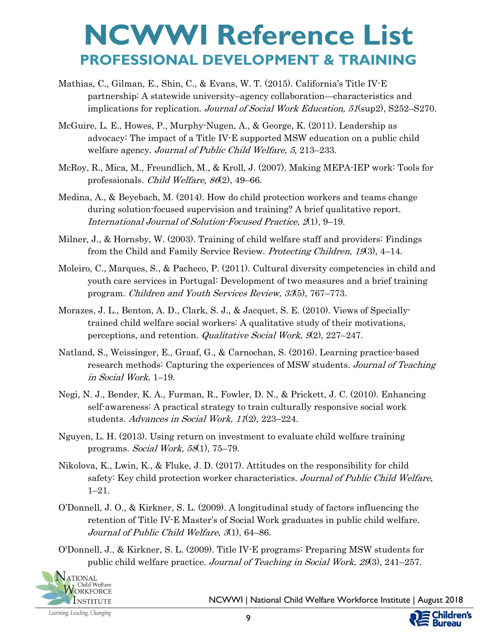- Mathias, C., Gilman, E., Shin, C., & Evans, W. T. (2015). California's Title IV-E partnership: A statewide university–agency collaboration—characteristics and implications for replication. Journal of Social Work Education, 51(sup2), S252–S270.
- McGuire, L. E., Howes, P., Murphy-Nugen, A., & George, K. (2011). Leadership as advocacy: The impact of a Title IV-E supported MSW education on a public child welfare agency. Journal of Public Child Welfare, 5, 213–233.
- McRoy, R., Mica, M., Freundlich, M., & Kroll, J. (2007). Making MEPA-IEP work: Tools for professionals. Child Welfare, 86(2), 49–66.
- Medina, A., & Beyebach, M. (2014). How do child protection workers and teams change during solution-focused supervision and training? A brief qualitative report. International Journal of Solution-Focused Practice, 2(1), 9–19.
- Milner, J., & Hornsby, W. (2003). Training of child welfare staff and providers: Findings from the Child and Family Service Review. Protecting Children, 19(3), 4–14.
- Moleiro, C., Marques, S., & Pacheco, P. (2011). Cultural diversity competencies in child and youth care services in Portugal: Development of two measures and a brief training program. Children and Youth Services Review, 33(5), 767–773.
- Morazes, J. L., Benton, A. D., Clark, S. J., & Jacquet, S. E. (2010). Views of Speciallytrained child welfare social workers: A qualitative study of their motivations, perceptions, and retention. *Qualitative Social Work*,  $\mathcal{A}(2)$ , 227–247.
- Natland, S., Weissinger, E., Graaf, G., & Carnochan, S. (2016). Learning practice-based research methods: Capturing the experiences of MSW students. Journal of Teaching in Social Work, 1–19.
- Negi, N. J., Bender, K. A., Furman, R., Fowler, D. N., & Prickett, J. C. (2010). Enhancing self-awareness: A practical strategy to train culturally responsive social work students. Advances in Social Work, 11(2), 223–224.
- Nguyen, L. H. (2013). Using return on investment to evaluate child welfare training programs. Social Work, 58(1), 75–79.
- Nikolova, K., Lwin, K., & Fluke, J. D. (2017). Attitudes on the responsibility for child safety: Key child protection worker characteristics. Journal of Public Child Welfare, 1–21.
- O'Donnell, J. O., & Kirkner, S. L. (2009). A longitudinal study of factors influencing the retention of Title IV-E Master's of Social Work graduates in public child welfare. Journal of Public Child Welfare, 3(1), 64–86.
- O'Donnell, J., & Kirkner, S. L. (2009). Title IV-E programs: Preparing MSW students for public child welfare practice. Journal of Teaching in Social Work, 29(3), 241–257.



NCWWI | National Child Welfare Workforce Institute | August 2018

**ildren's** 

Bureau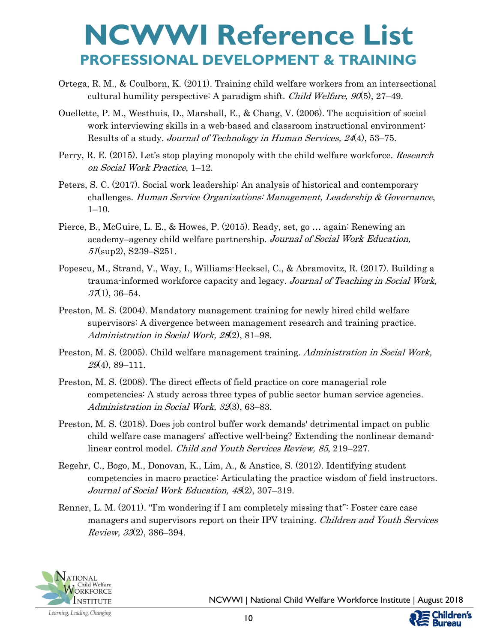- Ortega, R. M., & Coulborn, K. (2011). Training child welfare workers from an intersectional cultural humility perspective: A paradigm shift. *Child Welfare, 90*(5), 27–49.
- Ouellette, P. M., Westhuis, D., Marshall, E., & Chang, V. (2006). The acquisition of social work interviewing skills in a web-based and classroom instructional environment: Results of a study. Journal of Technology in Human Services, 24(4), 53–75.
- Perry, R. E. (2015). Let's stop playing monopoly with the child welfare workforce. Research on Social Work Practice, 1–12.
- Peters, S. C. (2017). Social work leadership: An analysis of historical and contemporary challenges. Human Service Organizations: Management, Leadership & Governance, 1–10.
- Pierce, B., McGuire, L. E., & Howes, P. (2015). Ready, set, go … again: Renewing an academy–agency child welfare partnership. Journal of Social Work Education, 51(sup2), S239–S251.
- Popescu, M., Strand, V., Way, I., Williams-Hecksel, C., & Abramovitz, R. (2017). Building a trauma-informed workforce capacity and legacy. Journal of Teaching in Social Work,  $37(1), 36-54.$
- Preston, M. S. (2004). Mandatory management training for newly hired child welfare supervisors: A divergence between management research and training practice. Administration in Social Work, 28(2), 81–98.
- Preston, M. S. (2005). Child welfare management training. Administration in Social Work,  $29(4)$ , 89-111.
- Preston, M. S. (2008). The direct effects of field practice on core managerial role competencies: A study across three types of public sector human service agencies. Administration in Social Work, 32(3), 63-83.
- Preston, M. S. (2018). Does job control buffer work demands' detrimental impact on public child welfare case managers' affective well-being? Extending the nonlinear demandlinear control model. Child and Youth Services Review, 85, 219–227.
- Regehr, C., Bogo, M., Donovan, K., Lim, A., & Anstice, S. (2012). Identifying student competencies in macro practice: Articulating the practice wisdom of field instructors. Journal of Social Work Education, 48(2), 307–319.
- Renner, L. M. (2011). "I'm wondering if I am completely missing that": Foster care case managers and supervisors report on their IPV training. Children and Youth Services Review, 33(2), 386–394.

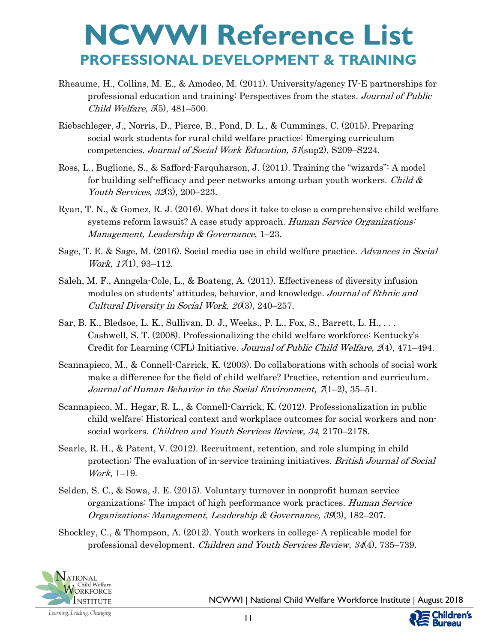- Rheaume, H., Collins, M. E., & Amodeo, M. (2011). University/agency IV-E partnerships for professional education and training: Perspectives from the states. Journal of Public Child Welfare, 5(5), 481–500.
- Riebschleger, J., Norris, D., Pierce, B., Pond, D. L., & Cummings, C. (2015). Preparing social work students for rural child welfare practice: Emerging curriculum competencies. Journal of Social Work Education, 51(sup2), S209–S224.
- Ross, L., Buglione, S., & Safford-Farquharson, J. (2011). Training the "wizards": A model for building self-efficacy and peer networks among urban youth workers. Child  $\&$ Youth Services, 32(3), 200–223.
- Ryan, T. N., & Gomez, R. J. (2016). What does it take to close a comprehensive child welfare systems reform lawsuit? A case study approach. Human Service Organizations: Management, Leadership & Governance, 1–23.
- Sage, T. E. & Sage, M. (2016). Social media use in child welfare practice. Advances in Social Work, 17(1), 93-112.
- Saleh, M. F., Anngela-Cole, L., & Boateng, A. (2011). Effectiveness of diversity infusion modules on students' attitudes, behavior, and knowledge. Journal of Ethnic and Cultural Diversity in Social Work, 20(3), 240–257.
- Sar, B. K., Bledsoe, L. K., Sullivan, D. J., Weeks., P. L., Fox, S., Barrett, L. H., . . . Cashwell, S. T. (2008). Professionalizing the child welfare workforce: Kentucky's Credit for Learning (CFL) Initiative. Journal of Public Child Welfare, 2(4), 471–494.
- Scannapieco, M., & Connell-Carrick, K. (2003). Do collaborations with schools of social work make a difference for the field of child welfare? Practice, retention and curriculum. Journal of Human Behavior in the Social Environment,  $\mathcal{A}(1-2)$ , 35-51.
- Scannapieco, M., Hegar, R. L., & Connell-Carrick, K. (2012). Professionalization in public child welfare: Historical context and workplace outcomes for social workers and nonsocial workers. Children and Youth Services Review, 34, 2170–2178.
- Searle, R. H., & Patent, V. (2012). Recruitment, retention, and role slumping in child protection: The evaluation of in-service training initiatives. British Journal of Social Work, 1–19.
- Selden, S. C., & Sowa, J. E. (2015). Voluntary turnover in nonprofit human service organizations: The impact of high performance work practices. *Human Service* Organizations: Management, Leadership & Governance, 39(3), 182–207.
- Shockley, C., & Thompson, A. (2012). Youth workers in college: A replicable model for professional development. Children and Youth Services Review, 34(4), 735–739.



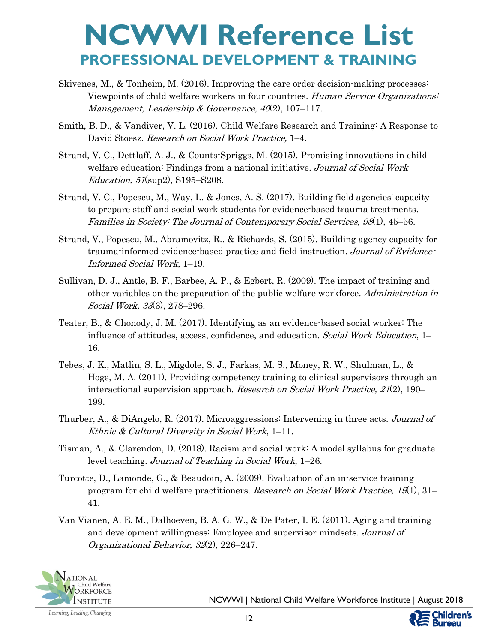- Skivenes, M., & Tonheim, M. (2016). Improving the care order decision-making processes: Viewpoints of child welfare workers in four countries. Human Service Organizations: Management, Leadership & Governance,  $40(2)$ , 107-117.
- Smith, B. D., & Vandiver, V. L. (2016). Child Welfare Research and Training: A Response to David Stoesz. Research on Social Work Practice, 1–4.
- Strand, V. C., Dettlaff, A. J., & Counts-Spriggs, M. (2015). Promising innovations in child welfare education: Findings from a national initiative. Journal of Social Work Education, 51(sup2), S195–S208.
- Strand, V. C., Popescu, M., Way, I., & Jones, A. S. (2017). Building field agencies' capacity to prepare staff and social work students for evidence-based trauma treatments. Families in Society: The Journal of Contemporary Social Services, 98(1), 45–56.
- Strand, V., Popescu, M., Abramovitz, R., & Richards, S. (2015). Building agency capacity for trauma-informed evidence-based practice and field instruction. Journal of Evidence-Informed Social Work, 1–19.
- Sullivan, D. J., Antle, B. F., Barbee, A. P., & Egbert, R. (2009). The impact of training and other variables on the preparation of the public welfare workforce. Administration in Social Work, 33(3), 278–296.
- Teater, B., & Chonody, J. M. (2017). Identifying as an evidence-based social worker: The influence of attitudes, access, confidence, and education. Social Work Education, 1– 16.
- Tebes, J. K., Matlin, S. L., Migdole, S. J., Farkas, M. S., Money, R. W., Shulman, L., & Hoge, M. A. (2011). Providing competency training to clinical supervisors through an interactional supervision approach. Research on Social Work Practice, 21(2), 190– 199.
- Thurber, A., & DiAngelo, R. (2017). Microaggressions: Intervening in three acts. Journal of Ethnic & Cultural Diversity in Social Work, 1–11.
- Tisman, A., & Clarendon, D. (2018). Racism and social work: A model syllabus for graduatelevel teaching. Journal of Teaching in Social Work, 1–26.
- Turcotte, D., Lamonde, G., & Beaudoin, A. (2009). Evaluation of an in-service training program for child welfare practitioners. Research on Social Work Practice, 19(1), 31– 41.
- Van Vianen, A. E. M., Dalhoeven, B. A. G. W., & De Pater, I. E. (2011). Aging and training and development willingness: Employee and supervisor mindsets. Journal of Organizational Behavior, 32(2), 226–247.